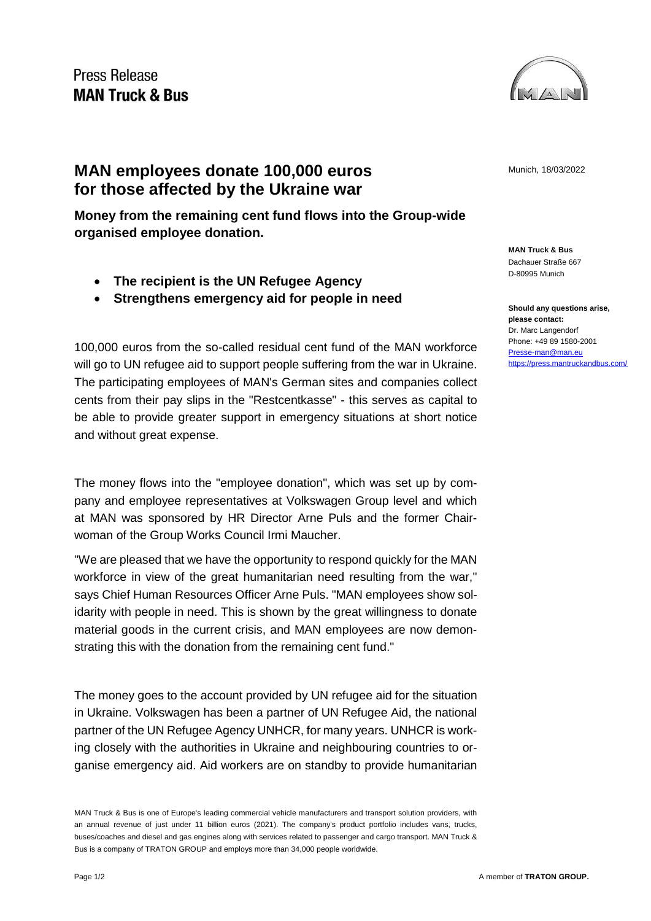

## **MAN employees donate 100,000 euros MAN** Munich, 18/03/2022 **for those affected by the Ukraine war**

**Money from the remaining cent fund flows into the Group-wide organised employee donation.**

- **The recipient is the UN Refugee Agency**
- **Strengthens emergency aid for people in need**

100,000 euros from the so-called residual cent fund of the MAN workforce will go to UN refugee aid to support people suffering from the war in Ukraine. The participating employees of MAN's German sites and companies collect cents from their pay slips in the "Restcentkasse" - this serves as capital to be able to provide greater support in emergency situations at short notice and without great expense.

The money flows into the "employee donation", which was set up by company and employee representatives at Volkswagen Group level and which at MAN was sponsored by HR Director Arne Puls and the former Chairwoman of the Group Works Council Irmi Maucher.

"We are pleased that we have the opportunity to respond quickly for the MAN workforce in view of the great humanitarian need resulting from the war," says Chief Human Resources Officer Arne Puls. "MAN employees show solidarity with people in need. This is shown by the great willingness to donate material goods in the current crisis, and MAN employees are now demonstrating this with the donation from the remaining cent fund."

The money goes to the account provided by UN refugee aid for the situation in Ukraine. Volkswagen has been a partner of UN Refugee Aid, the national partner of the UN Refugee Agency UNHCR, for many years. UNHCR is working closely with the authorities in Ukraine and neighbouring countries to organise emergency aid. Aid workers are on standby to provide humanitarian

**MAN Truck & Bus** Dachauer Straße 667 D-80995 Munich

**Should any questions arise, please contact:** Dr. Marc Langendorf Phone: +49 89 1580-2001 [Presse-man@man.eu](mailto:Presse-man@man.eu) <https://press.mantruckandbus.com/>

MAN Truck & Bus is one of Europe's leading commercial vehicle manufacturers and transport solution providers, with an annual revenue of just under 11 billion euros (2021). The company's product portfolio includes vans, trucks, buses/coaches and diesel and gas engines along with services related to passenger and cargo transport. MAN Truck & Bus is a company of TRATON GROUP and employs more than 34,000 people worldwide.